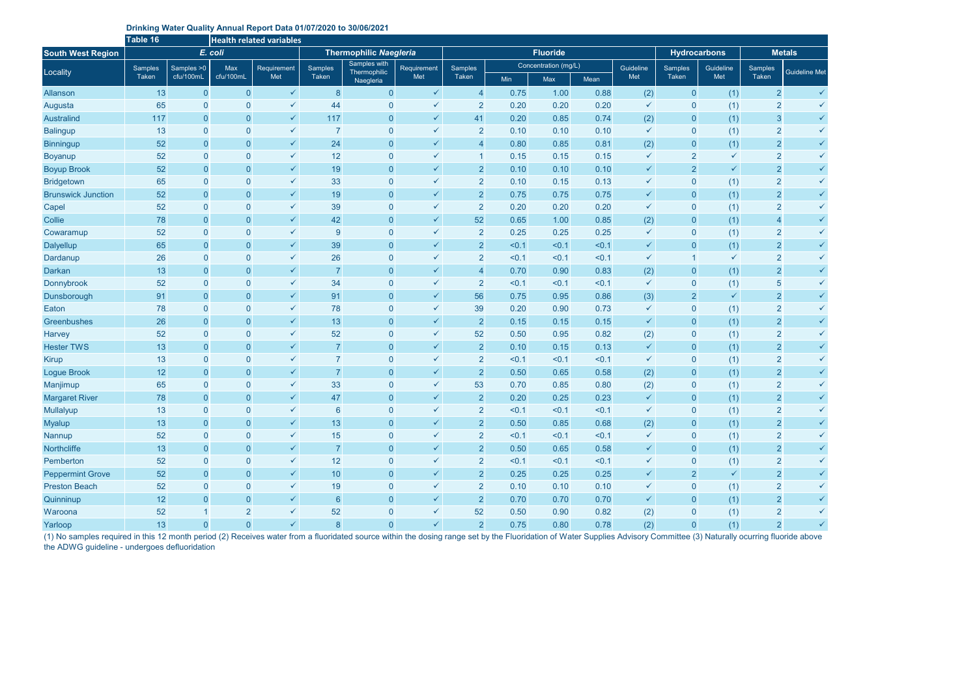## **Drinking Water Quality Annual Report Data 01/07/2020 to 30/06/2021**

|                           | Table 16         |                  | <b>Health related variables</b> |                           |                               |                                           |                    |                  |                      |       |       |                     |                |               |                |                      |
|---------------------------|------------------|------------------|---------------------------------|---------------------------|-------------------------------|-------------------------------------------|--------------------|------------------|----------------------|-------|-------|---------------------|----------------|---------------|----------------|----------------------|
| <b>South West Region</b>  |                  |                  | E. coli                         |                           | <b>Thermophilic Naegleria</b> |                                           |                    |                  | <b>Fluoride</b>      |       |       | <b>Hydrocarbons</b> |                | <b>Metals</b> |                |                      |
| Locality                  | Samples<br>Taken | Samples > 0      | Max                             | <b>Requirement</b><br>Met | Samples<br>Taken              | Samples with<br>Thermophilic<br>Naegleria | Requirement<br>Met | Samples<br>Taken | Concentration (mg/L) |       |       | Guideline           | <b>Samples</b> | Guideline     | <b>Samples</b> | <b>Guideline Met</b> |
|                           |                  | cfu/100mL        | cfu/100mL                       |                           |                               |                                           |                    |                  | Min                  | Max   | Mean  | Met                 | Taken          | Met           | Taken          |                      |
| Allanson                  | 13               | $\overline{0}$   | $\overline{0}$                  | $\checkmark$              | 8                             | $\overline{0}$                            | $\checkmark$       | $\overline{4}$   | 0.75                 | 1.00  | 0.88  | (2)                 | $\pmb{0}$      | (1)           | $\overline{2}$ | $\checkmark$         |
| Augusta                   | 65               | $\theta$         | $\overline{0}$                  | $\checkmark$              | 44                            | $\mathbf{0}$                              | $\checkmark$       | $\overline{2}$   | 0.20                 | 0.20  | 0.20  | $\checkmark$        | $\mathbf 0$    | (1)           | $\overline{2}$ | $\checkmark$         |
| <b>Australind</b>         | 117              | $\overline{0}$   | $\overline{0}$                  | $\checkmark$              | 117                           | $\boldsymbol{0}$                          | $\checkmark$       | 41               | 0.20                 | 0.85  | 0.74  | (2)                 | $\mathbf{0}$   | (1)           | $\mathbf{3}$   | $\checkmark$         |
| <b>Balingup</b>           | 13               | $\theta$         | $\mathbf{0}$                    | $\checkmark$              | $\overline{7}$                | $\overline{0}$                            | $\checkmark$       | $\overline{2}$   | 0.10                 | 0.10  | 0.10  | $\checkmark$        | $\mathbf 0$    | (1)           | $\overline{2}$ | $\checkmark$         |
| <b>Binningup</b>          | 52               | $\theta$         | $\pmb{0}$                       | $\checkmark$              | 24                            | $\overline{0}$                            | $\checkmark$       | $\overline{4}$   | 0.80                 | 0.85  | 0.81  | (2)                 | $\mathbf 0$    | (1)           | $\overline{2}$ | $\checkmark$         |
| Boyanup                   | 52               | $\overline{0}$   | $\overline{0}$                  | $\checkmark$              | 12                            | $\overline{0}$                            | $\checkmark$       |                  | 0.15                 | 0.15  | 0.15  | $\checkmark$        | $\overline{2}$ | $\checkmark$  | $\overline{2}$ | $\checkmark$         |
| <b>Boyup Brook</b>        | 52               | $\overline{0}$   | $\overline{0}$                  | $\checkmark$              | 19                            | $\overline{0}$                            | $\checkmark$       | $\overline{2}$   | 0.10                 | 0.10  | 0.10  | $\checkmark$        | $\overline{2}$ | $\checkmark$  | $\overline{2}$ | $\checkmark$         |
| <b>Bridgetown</b>         | 65               | $\overline{0}$   | $\overline{0}$                  | $\checkmark$              | 33                            | $\mathbf{0}$                              | $\checkmark$       | $\overline{2}$   | 0.10                 | 0.15  | 0.13  | $\checkmark$        | $\pmb{0}$      | (1)           | $\overline{2}$ | $\checkmark$         |
| <b>Brunswick Junction</b> | 52               | $\overline{0}$   | $\overline{0}$                  | $\checkmark$              | 19                            | $\boldsymbol{0}$                          | $\checkmark$       | $\overline{2}$   | 0.75                 | 0.75  | 0.75  | $\checkmark$        | $\pmb{0}$      | (1)           | $\overline{2}$ | $\checkmark$         |
| Capel                     | 52               | $\theta$         | $\mathbf{0}$                    | $\checkmark$              | 39                            | $\boldsymbol{0}$                          | $\checkmark$       | $\overline{2}$   | 0.20                 | 0.20  | 0.20  | $\checkmark$        | $\mathbf 0$    | (1)           | $\overline{2}$ | $\checkmark$         |
| Collie                    | 78               | $\overline{0}$   | $\overline{0}$                  | $\checkmark$              | 42                            | $\boldsymbol{0}$                          | $\checkmark$       | 52               | 0.65                 | 1.00  | 0.85  | (2)                 | $\pmb{0}$      | (1)           | $\overline{4}$ | $\checkmark$         |
| Cowaramup                 | 52               | $\theta$         | $\theta$                        | $\checkmark$              | 9                             | $\boldsymbol{0}$                          | $\checkmark$       | $\overline{2}$   | 0.25                 | 0.25  | 0.25  | $\checkmark$        | $\mathbf 0$    | (1)           | $\overline{2}$ | $\checkmark$         |
| <b>Dalyellup</b>          | 65               | $\overline{0}$   | $\overline{0}$                  | $\checkmark$              | 39                            | $\overline{0}$                            | $\checkmark$       | $\overline{2}$   | < 0.1                | < 0.1 | < 0.1 | $\checkmark$        | $\overline{0}$ | (1)           | $\overline{2}$ | $\checkmark$         |
| Dardanup                  | 26               | $\overline{0}$   | $\overline{0}$                  | $\checkmark$              | 26                            | $\overline{0}$                            | $\checkmark$       | $\overline{2}$   | < 0.1                | < 0.1 | < 0.1 | $\checkmark$        |                | $\checkmark$  | $\overline{2}$ | $\checkmark$         |
| <b>Darkan</b>             | 13               | $\overline{0}$   | $\overline{0}$                  | $\checkmark$              | $\overline{7}$                | $\overline{0}$                            | $\checkmark$       | $\overline{4}$   | 0.70                 | 0.90  | 0.83  | (2)                 | $\mathbf{0}$   | (1)           | $\overline{2}$ | $\checkmark$         |
| Donnybrook                | 52               | $\overline{0}$   | $\overline{0}$                  | $\checkmark$              | 34                            | $\overline{0}$                            | $\checkmark$       | $\overline{2}$   | < 0.1                | < 0.1 | < 0.1 | $\checkmark$        | $\mathbf 0$    | (1)           | $\overline{5}$ | $\checkmark$         |
| Dunsborough               | 91               | $\overline{0}$   | $\theta$                        | $\checkmark$              | 91                            | $\boldsymbol{0}$                          | $\checkmark$       | 56               | 0.75                 | 0.95  | 0.86  | (3)                 | $\overline{2}$ | $\checkmark$  | $\overline{2}$ | $\checkmark$         |
| Eaton                     | 78               | $\theta$         | $\mathbf{0}$                    | $\checkmark$              | 78                            | $\overline{0}$                            | $\checkmark$       | 39               | 0.20                 | 0.90  | 0.73  | $\checkmark$        | $\pmb{0}$      | (1)           | $\overline{2}$ | $\checkmark$         |
| Greenbushes               | 26               | $\overline{0}$   | $\overline{0}$                  | $\checkmark$              | 13                            | $\overline{0}$                            | $\checkmark$       | $\overline{2}$   | 0.15                 | 0.15  | 0.15  | $\checkmark$        | $\pmb{0}$      | (1)           | $\overline{2}$ | $\checkmark$         |
| <b>Harvey</b>             | 52               | $\overline{0}$   | $\overline{0}$                  | $\checkmark$              | 52                            | $\bf 0$                                   | $\checkmark$       | 52               | 0.50                 | 0.95  | 0.82  | (2)                 | $\mathbf 0$    | (1)           | $\overline{2}$ | $\checkmark$         |
| <b>Hester TWS</b>         | 13               | $\overline{0}$   | $\overline{0}$                  | $\checkmark$              | $\overline{7}$                | $\overline{0}$                            | $\checkmark$       | $\overline{2}$   | 0.10                 | 0.15  | 0.13  | $\checkmark$        | $\overline{0}$ | (1)           | $\overline{2}$ | $\checkmark$         |
| <b>Kirup</b>              | 13               | $\overline{0}$   | $\mathbf{0}$                    | $\checkmark$              | $\overline{7}$                | $\overline{0}$                            | $\checkmark$       | $\overline{2}$   | < 0.1                | < 0.1 | < 0.1 | $\checkmark$        | $\mathbf 0$    | (1)           | $\overline{2}$ | $\checkmark$         |
| <b>Logue Brook</b>        | 12               | $\overline{0}$   | $\overline{0}$                  | $\checkmark$              | $\overline{7}$                | $\boldsymbol{0}$                          | $\checkmark$       | $\overline{2}$   | 0.50                 | 0.65  | 0.58  | (2)                 | $\pmb{0}$      | (1)           | $\overline{2}$ | $\checkmark$         |
| Manjimup                  | 65               | $\boldsymbol{0}$ | $\theta$                        | $\checkmark$              | 33                            | $\overline{0}$                            | $\checkmark$       | 53               | 0.70                 | 0.85  | 0.80  | (2)                 | $\mathbf 0$    | (1)           | $\overline{2}$ | $\checkmark$         |
| <b>Margaret River</b>     | 78               | $\overline{0}$   | $\overline{0}$                  | $\checkmark$              | 47                            | $\overline{0}$                            | $\checkmark$       | $\overline{2}$   | 0.20                 | 0.25  | 0.23  | $\checkmark$        | $\mathbf 0$    | (1)           | $\overline{2}$ | $\checkmark$         |
| Mullalyup                 | 13               | $\overline{0}$   | $\overline{0}$                  | $\checkmark$              | 6                             | $\overline{0}$                            | $\checkmark$       | $\overline{2}$   | < 0.1                | < 0.1 | < 0.1 | $\checkmark$        | $\mathbf 0$    | (1)           | 2              |                      |
| <b>Myalup</b>             | 13               | $\overline{0}$   | $\overline{0}$                  | $\checkmark$              | 13                            | $\overline{0}$                            | $\checkmark$       | $\overline{2}$   | 0.50                 | 0.85  | 0.68  | (2)                 | $\pmb{0}$      | (1)           | $\overline{2}$ |                      |
| <b>Nannup</b>             | 52               | $\overline{0}$   | $\overline{0}$                  | $\checkmark$              | 15                            | $\overline{0}$                            | $\checkmark$       | $\overline{2}$   | < 0.1                | < 0.1 | < 0.1 | $\checkmark$        | $\mathbf 0$    | (1)           | $\overline{2}$ | $\checkmark$         |
| Northcliffe               | 13               | $\overline{0}$   | $\overline{0}$                  | $\checkmark$              | $\overline{7}$                | $\mathbf 0$                               | $\checkmark$       | $\overline{2}$   | 0.50                 | 0.65  | 0.58  | $\checkmark$        | $\pmb{0}$      | (1)           | $\overline{2}$ | $\checkmark$         |
| Pemberton                 | 52               | $\overline{0}$   | $\overline{0}$                  | $\checkmark$              | 12                            | $\overline{0}$                            | $\checkmark$       | $\overline{2}$   | < 0.1                | < 0.1 | < 0.1 | $\checkmark$        | $\pmb{0}$      | (1)           | $\overline{2}$ | $\checkmark$         |
| <b>Peppermint Grove</b>   | 52               | $\overline{0}$   | $\overline{0}$                  | $\checkmark$              | $10$                          | $\boldsymbol{0}$                          | $\checkmark$       | $\overline{2}$   | 0.25                 | 0.25  | 0.25  | $\checkmark$        | $\overline{2}$ | $\checkmark$  | $\overline{2}$ | $\checkmark$         |
| <b>Preston Beach</b>      | 52               | $\overline{0}$   | $\overline{0}$                  | $\checkmark$              | 19                            | $\overline{0}$                            | $\checkmark$       | $\overline{2}$   | 0.10                 | 0.10  | 0.10  | $\checkmark$        | $\pmb{0}$      | (1)           | $\overline{2}$ | $\checkmark$         |
| Quinninup                 | 12               | $\overline{0}$   | $\overline{0}$                  | $\checkmark$              | 6                             | $\overline{0}$                            | $\checkmark$       | $\overline{2}$   | 0.70                 | 0.70  | 0.70  | $\checkmark$        | $\pmb{0}$      | (1)           | $\overline{2}$ | $\checkmark$         |
| Waroona                   | 52               | $\overline{1}$   | $\overline{2}$                  | $\checkmark$              | 52                            | $\overline{0}$                            | $\checkmark$       | 52               | 0.50                 | 0.90  | 0.82  | (2)                 | $\pmb{0}$      | (1)           | $\overline{2}$ | $\checkmark$         |
| Yarloop                   | 13               | $\overline{0}$   | $\overline{0}$                  | $\checkmark$              | 8                             | $\mathbf 0$                               | $\checkmark$       | 2 <sup>1</sup>   | 0.75                 | 0.80  | 0.78  | (2)                 | $\overline{0}$ | (1)           | $\overline{2}$ | $\checkmark$         |

(1) No samples required in this 12 month period (2) Receives water from a fluoridated source within the dosing range set by the Fluoridation of Water Supplies Advisory Committee (3) Naturally ocurring fluoride above the ADWG guideline - undergoes defluoridation